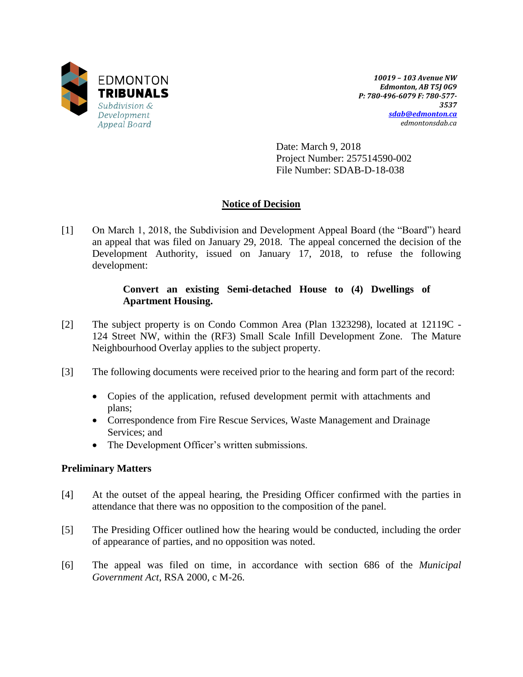

*10019 – 103 Avenue NW Edmonton, AB T5J 0G9 P: 780-496-6079 F: 780-577- 3537 [sdab@edmonton.ca](mailto:sdab@edmonton.ca) edmontonsdab.ca*

Date: March 9, 2018 Project Number: 257514590-002 File Number: SDAB-D-18-038

# **Notice of Decision**

[1] On March 1, 2018, the Subdivision and Development Appeal Board (the "Board") heard an appeal that was filed on January 29, 2018. The appeal concerned the decision of the Development Authority, issued on January 17, 2018, to refuse the following development:

### **Convert an existing Semi-detached House to (4) Dwellings of Apartment Housing.**

- [2] The subject property is on Condo Common Area (Plan 1323298), located at 12119C 124 Street NW, within the (RF3) Small Scale Infill Development Zone. The Mature Neighbourhood Overlay applies to the subject property.
- [3] The following documents were received prior to the hearing and form part of the record:
	- Copies of the application, refused development permit with attachments and plans;
	- Correspondence from Fire Rescue Services, Waste Management and Drainage Services; and
	- The Development Officer's written submissions.

## **Preliminary Matters**

- [4] At the outset of the appeal hearing, the Presiding Officer confirmed with the parties in attendance that there was no opposition to the composition of the panel.
- [5] The Presiding Officer outlined how the hearing would be conducted, including the order of appearance of parties, and no opposition was noted.
- [6] The appeal was filed on time, in accordance with section 686 of the *Municipal Government Act*, RSA 2000, c M-26.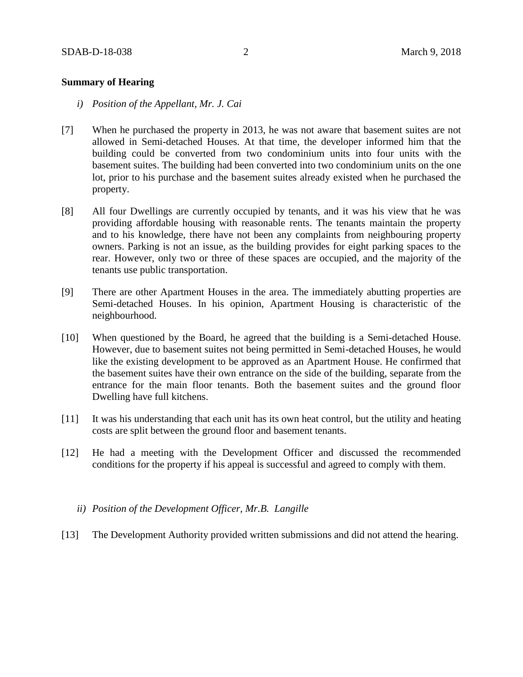#### **Summary of Hearing**

- *i) Position of the Appellant, Mr. J. Cai*
- [7] When he purchased the property in 2013, he was not aware that basement suites are not allowed in Semi-detached Houses. At that time, the developer informed him that the building could be converted from two condominium units into four units with the basement suites. The building had been converted into two condominium units on the one lot, prior to his purchase and the basement suites already existed when he purchased the property.
- [8] All four Dwellings are currently occupied by tenants, and it was his view that he was providing affordable housing with reasonable rents. The tenants maintain the property and to his knowledge, there have not been any complaints from neighbouring property owners. Parking is not an issue, as the building provides for eight parking spaces to the rear. However, only two or three of these spaces are occupied, and the majority of the tenants use public transportation.
- [9] There are other Apartment Houses in the area. The immediately abutting properties are Semi-detached Houses. In his opinion, Apartment Housing is characteristic of the neighbourhood.
- [10] When questioned by the Board, he agreed that the building is a Semi-detached House. However, due to basement suites not being permitted in Semi-detached Houses, he would like the existing development to be approved as an Apartment House. He confirmed that the basement suites have their own entrance on the side of the building, separate from the entrance for the main floor tenants. Both the basement suites and the ground floor Dwelling have full kitchens.
- [11] It was his understanding that each unit has its own heat control, but the utility and heating costs are split between the ground floor and basement tenants.
- [12] He had a meeting with the Development Officer and discussed the recommended conditions for the property if his appeal is successful and agreed to comply with them.
	- *ii) Position of the Development Officer, Mr.B. Langille*
- [13] The Development Authority provided written submissions and did not attend the hearing.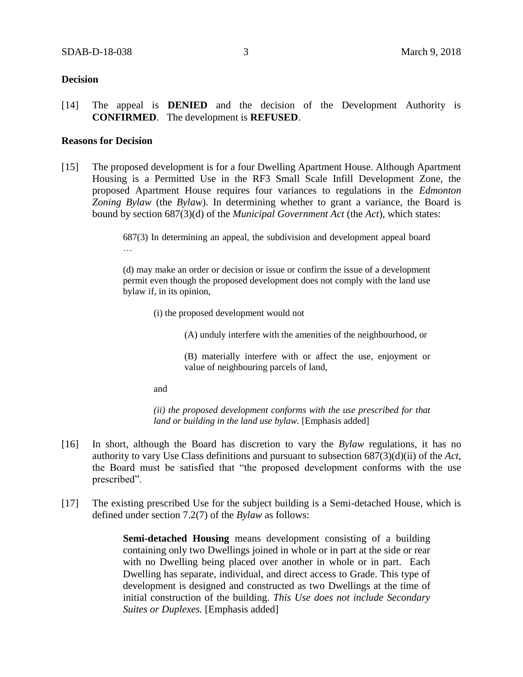#### **Decision**

[14] The appeal is **DENIED** and the decision of the Development Authority is **CONFIRMED**. The development is **REFUSED**.

#### **Reasons for Decision**

[15] The proposed development is for a four Dwelling Apartment House. Although Apartment Housing is a Permitted Use in the RF3 Small Scale Infill Development Zone, the proposed Apartment House requires four variances to regulations in the *Edmonton Zoning Bylaw* (the *Bylaw*). In determining whether to grant a variance, the Board is bound by section 687(3)(d) of the *Municipal Government Act* (the *Act*), which states:

> 687(3) In determining an appeal, the subdivision and development appeal board …

> (d) may make an order or decision or issue or confirm the issue of a development permit even though the proposed development does not comply with the land use bylaw if, in its opinion,

(i) the proposed development would not

(A) unduly interfere with the amenities of the neighbourhood, or

(B) materially interfere with or affect the use, enjoyment or value of neighbouring parcels of land,

and

*(ii) the proposed development conforms with the use prescribed for that land or building in the land use bylaw.* [Emphasis added]

- [16] In short, although the Board has discretion to vary the *Bylaw* regulations, it has no authority to vary Use Class definitions and pursuant to subsection 687(3)(d)(ii) of the *Act*, the Board must be satisfied that "the proposed development conforms with the use prescribed".
- [17] The existing prescribed Use for the subject building is a Semi-detached House, which is defined under section 7.2(7) of the *Bylaw* as follows:

**Semi-detached Housing** means development consisting of a building containing only two Dwellings joined in whole or in part at the side or rear with no Dwelling being placed over another in whole or in part. Each Dwelling has separate, individual, and direct access to Grade. This type of development is designed and constructed as two Dwellings at the time of initial construction of the building. *This Use does not include Secondary Suites or Duplexes.* [Emphasis added]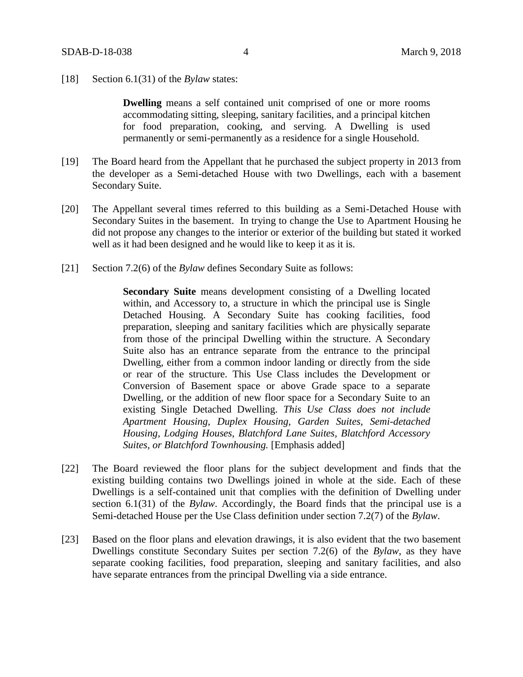[18] Section 6.1(31) of the *Bylaw* states:

**Dwelling** means a self contained unit comprised of one or more rooms accommodating sitting, sleeping, sanitary facilities, and a principal kitchen for food preparation, cooking, and serving. A Dwelling is used permanently or semi-permanently as a residence for a single Household.

- [19] The Board heard from the Appellant that he purchased the subject property in 2013 from the developer as a Semi-detached House with two Dwellings, each with a basement Secondary Suite.
- [20] The Appellant several times referred to this building as a Semi-Detached House with Secondary Suites in the basement. In trying to change the Use to Apartment Housing he did not propose any changes to the interior or exterior of the building but stated it worked well as it had been designed and he would like to keep it as it is.
- [21] Section 7.2(6) of the *Bylaw* defines Secondary Suite as follows:

**Secondary Suite** means development consisting of a Dwelling located within, and Accessory to, a structure in which the principal use is Single Detached Housing. A Secondary Suite has cooking facilities, food preparation, sleeping and sanitary facilities which are physically separate from those of the principal Dwelling within the structure. A Secondary Suite also has an entrance separate from the entrance to the principal Dwelling, either from a common indoor landing or directly from the side or rear of the structure. This Use Class includes the Development or Conversion of Basement space or above Grade space to a separate Dwelling, or the addition of new floor space for a Secondary Suite to an existing Single Detached Dwelling. *This Use Class does not include Apartment Housing, Duplex Housing, Garden Suites, Semi-detached Housing, Lodging Houses, Blatchford Lane Suites, Blatchford Accessory Suites, or Blatchford Townhousing.* [Emphasis added]

- [22] The Board reviewed the floor plans for the subject development and finds that the existing building contains two Dwellings joined in whole at the side. Each of these Dwellings is a self-contained unit that complies with the definition of Dwelling under section 6.1(31) of the *Bylaw*. Accordingly, the Board finds that the principal use is a Semi-detached House per the Use Class definition under section 7.2(7) of the *Bylaw*.
- [23] Based on the floor plans and elevation drawings, it is also evident that the two basement Dwellings constitute Secondary Suites per section 7.2(6) of the *Bylaw*, as they have separate cooking facilities, food preparation, sleeping and sanitary facilities, and also have separate entrances from the principal Dwelling via a side entrance.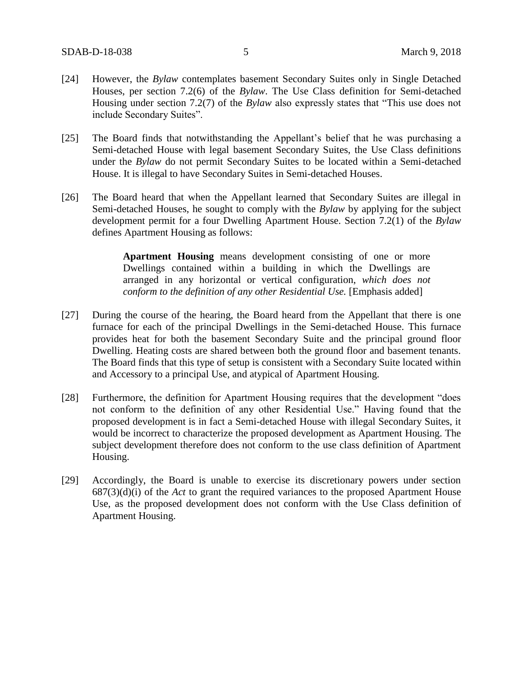- [24] However, the *Bylaw* contemplates basement Secondary Suites only in Single Detached Houses, per section 7.2(6) of the *Bylaw*. The Use Class definition for Semi-detached Housing under section 7.2(7) of the *Bylaw* also expressly states that "This use does not include Secondary Suites".
- [25] The Board finds that notwithstanding the Appellant's belief that he was purchasing a Semi-detached House with legal basement Secondary Suites, the Use Class definitions under the *Bylaw* do not permit Secondary Suites to be located within a Semi-detached House. It is illegal to have Secondary Suites in Semi-detached Houses.
- [26] The Board heard that when the Appellant learned that Secondary Suites are illegal in Semi-detached Houses, he sought to comply with the *Bylaw* by applying for the subject development permit for a four Dwelling Apartment House. Section 7.2(1) of the *Bylaw* defines Apartment Housing as follows:

**Apartment Housing** means development consisting of one or more Dwellings contained within a building in which the Dwellings are arranged in any horizontal or vertical configuration, *which does not conform to the definition of any other Residential Use.* [Emphasis added]

- [27] During the course of the hearing, the Board heard from the Appellant that there is one furnace for each of the principal Dwellings in the Semi-detached House. This furnace provides heat for both the basement Secondary Suite and the principal ground floor Dwelling. Heating costs are shared between both the ground floor and basement tenants. The Board finds that this type of setup is consistent with a Secondary Suite located within and Accessory to a principal Use, and atypical of Apartment Housing.
- [28] Furthermore, the definition for Apartment Housing requires that the development "does not conform to the definition of any other Residential Use." Having found that the proposed development is in fact a Semi-detached House with illegal Secondary Suites, it would be incorrect to characterize the proposed development as Apartment Housing. The subject development therefore does not conform to the use class definition of Apartment Housing.
- [29] Accordingly, the Board is unable to exercise its discretionary powers under section 687(3)(d)(i) of the *Act* to grant the required variances to the proposed Apartment House Use, as the proposed development does not conform with the Use Class definition of Apartment Housing.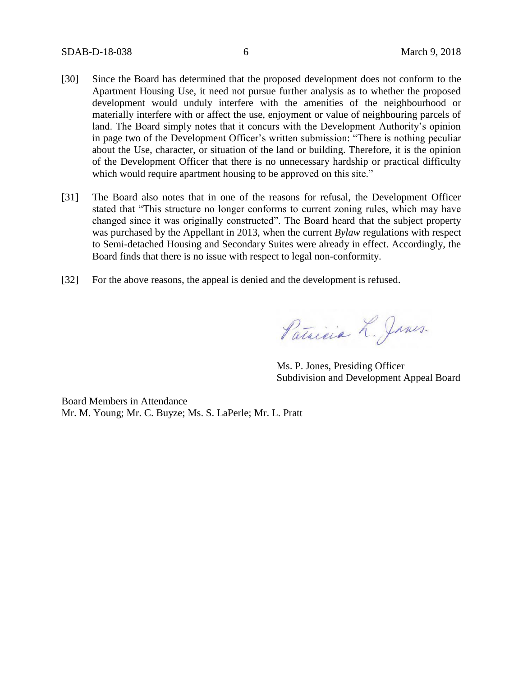- [30] Since the Board has determined that the proposed development does not conform to the Apartment Housing Use, it need not pursue further analysis as to whether the proposed development would unduly interfere with the amenities of the neighbourhood or materially interfere with or affect the use, enjoyment or value of neighbouring parcels of land. The Board simply notes that it concurs with the Development Authority's opinion in page two of the Development Officer's written submission: "There is nothing peculiar about the Use, character, or situation of the land or building. Therefore, it is the opinion of the Development Officer that there is no unnecessary hardship or practical difficulty which would require apartment housing to be approved on this site."
- [31] The Board also notes that in one of the reasons for refusal, the Development Officer stated that "This structure no longer conforms to current zoning rules, which may have changed since it was originally constructed". The Board heard that the subject property was purchased by the Appellant in 2013, when the current *Bylaw* regulations with respect to Semi-detached Housing and Secondary Suites were already in effect. Accordingly, the Board finds that there is no issue with respect to legal non-conformity.
- [32] For the above reasons, the appeal is denied and the development is refused.

Patricia L. Janes.

Ms. P. Jones, Presiding Officer Subdivision and Development Appeal Board

Board Members in Attendance Mr. M. Young; Mr. C. Buyze; Ms. S. LaPerle; Mr. L. Pratt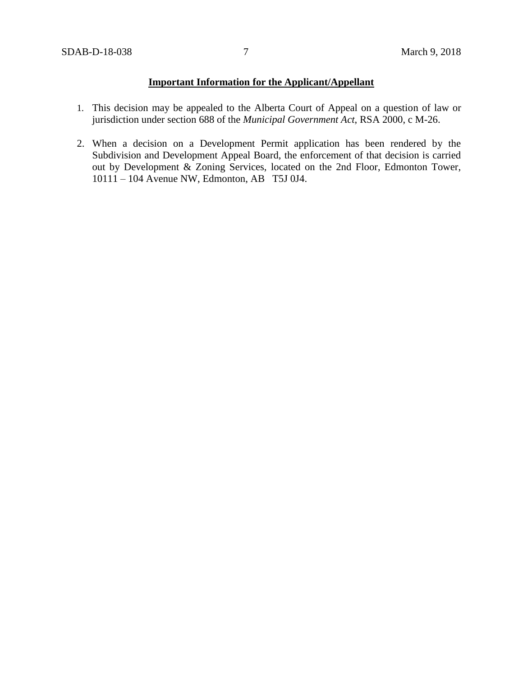# **Important Information for the Applicant/Appellant**

- 1. This decision may be appealed to the Alberta Court of Appeal on a question of law or jurisdiction under section 688 of the *Municipal Government Act*, RSA 2000, c M-26.
- 2. When a decision on a Development Permit application has been rendered by the Subdivision and Development Appeal Board, the enforcement of that decision is carried out by Development & Zoning Services, located on the 2nd Floor, Edmonton Tower, 10111 – 104 Avenue NW, Edmonton, AB T5J 0J4.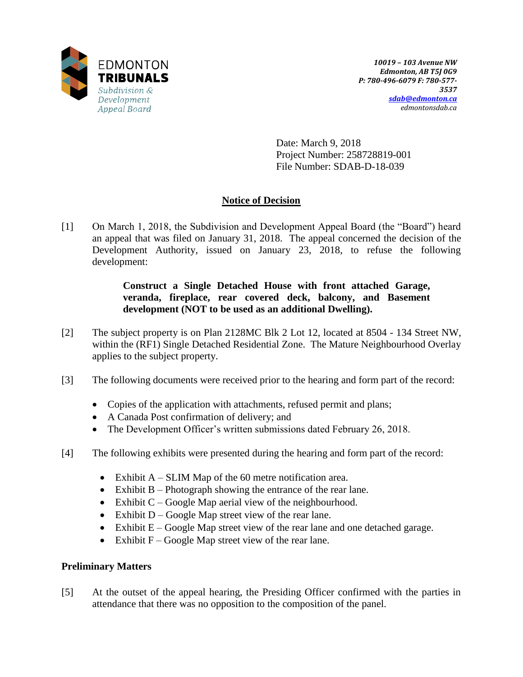

Date: March 9, 2018 Project Number: 258728819-001 File Number: SDAB-D-18-039

# **Notice of Decision**

[1] On March 1, 2018, the Subdivision and Development Appeal Board (the "Board") heard an appeal that was filed on January 31, 2018.The appeal concerned the decision of the Development Authority, issued on January 23, 2018, to refuse the following development:

## **Construct a Single Detached House with front attached Garage, veranda, fireplace, rear covered deck, balcony, and Basement development (NOT to be used as an additional Dwelling).**

- [2] The subject property is on Plan 2128MC Blk 2 Lot 12, located at 8504 134 Street NW, within the (RF1) Single Detached Residential Zone. The Mature Neighbourhood Overlay applies to the subject property.
- [3] The following documents were received prior to the hearing and form part of the record:
	- Copies of the application with attachments, refused permit and plans;
	- A Canada Post confirmation of delivery; and
	- The Development Officer's written submissions dated February 26, 2018.
- [4] The following exhibits were presented during the hearing and form part of the record:
	- Exhibit  $A SLIM$  Map of the 60 metre notification area.
	- Exhibit  $B -$ Photograph showing the entrance of the rear lane.
	- Exhibit  $C Google Map$  aerial view of the neighbourhood.
	- $\bullet$  Exhibit D Google Map street view of the rear lane.
	- Exhibit  $E Google Map$  street view of the rear lane and one detached garage.
	- Exhibit  $F Google Map$  street view of the rear lane.

## **Preliminary Matters**

[5] At the outset of the appeal hearing, the Presiding Officer confirmed with the parties in attendance that there was no opposition to the composition of the panel.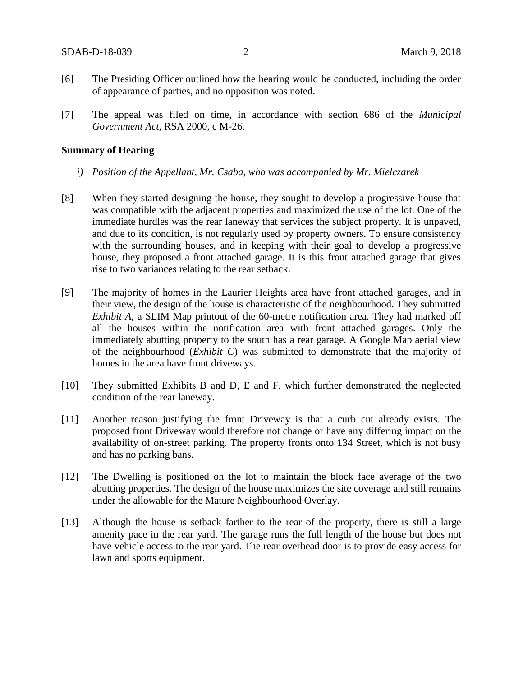- [6] The Presiding Officer outlined how the hearing would be conducted, including the order of appearance of parties, and no opposition was noted.
- [7] The appeal was filed on time, in accordance with section 686 of the *Municipal Government Act*, RSA 2000, c M-26.

#### **Summary of Hearing**

- *i) Position of the Appellant, Mr. Csaba, who was accompanied by Mr. Mielczarek*
- [8] When they started designing the house, they sought to develop a progressive house that was compatible with the adjacent properties and maximized the use of the lot. One of the immediate hurdles was the rear laneway that services the subject property. It is unpaved, and due to its condition, is not regularly used by property owners. To ensure consistency with the surrounding houses, and in keeping with their goal to develop a progressive house, they proposed a front attached garage. It is this front attached garage that gives rise to two variances relating to the rear setback.
- [9] The majority of homes in the Laurier Heights area have front attached garages, and in their view, the design of the house is characteristic of the neighbourhood. They submitted *Exhibit A*, a SLIM Map printout of the 60-metre notification area. They had marked off all the houses within the notification area with front attached garages. Only the immediately abutting property to the south has a rear garage. A Google Map aerial view of the neighbourhood (*Exhibit C*) was submitted to demonstrate that the majority of homes in the area have front driveways.
- [10] They submitted Exhibits B and D, E and F, which further demonstrated the neglected condition of the rear laneway.
- [11] Another reason justifying the front Driveway is that a curb cut already exists. The proposed front Driveway would therefore not change or have any differing impact on the availability of on-street parking. The property fronts onto 134 Street, which is not busy and has no parking bans.
- [12] The Dwelling is positioned on the lot to maintain the block face average of the two abutting properties. The design of the house maximizes the site coverage and still remains under the allowable for the Mature Neighbourhood Overlay.
- [13] Although the house is setback farther to the rear of the property, there is still a large amenity pace in the rear yard. The garage runs the full length of the house but does not have vehicle access to the rear yard. The rear overhead door is to provide easy access for lawn and sports equipment.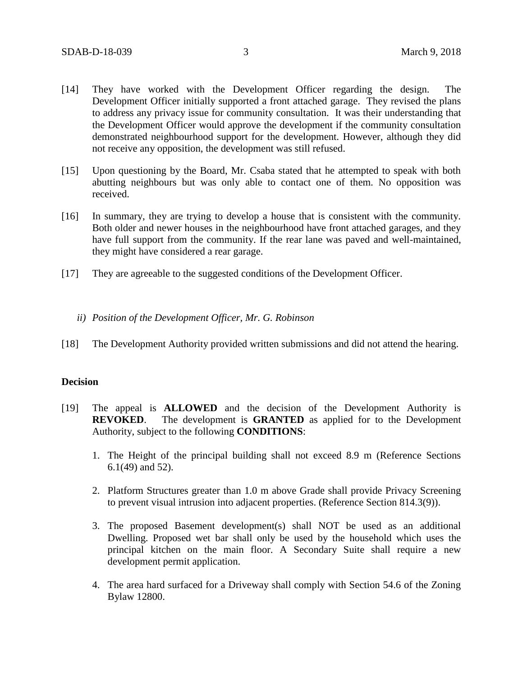- [14] They have worked with the Development Officer regarding the design. The Development Officer initially supported a front attached garage. They revised the plans to address any privacy issue for community consultation. It was their understanding that the Development Officer would approve the development if the community consultation demonstrated neighbourhood support for the development. However, although they did not receive any opposition, the development was still refused.
- [15] Upon questioning by the Board, Mr. Csaba stated that he attempted to speak with both abutting neighbours but was only able to contact one of them. No opposition was received.
- [16] In summary, they are trying to develop a house that is consistent with the community. Both older and newer houses in the neighbourhood have front attached garages, and they have full support from the community. If the rear lane was paved and well-maintained, they might have considered a rear garage.
- [17] They are agreeable to the suggested conditions of the Development Officer.
	- *ii) Position of the Development Officer, Mr. G. Robinson*
- [18] The Development Authority provided written submissions and did not attend the hearing.

#### **Decision**

- [19] The appeal is **ALLOWED** and the decision of the Development Authority is **REVOKED**. The development is **GRANTED** as applied for to the Development Authority, subject to the following **CONDITIONS**:
	- 1. The Height of the principal building shall not exceed 8.9 m (Reference Sections 6.1(49) and 52).
	- 2. Platform Structures greater than 1.0 m above Grade shall provide Privacy Screening to prevent visual intrusion into adjacent properties. (Reference Section 814.3(9)).
	- 3. The proposed Basement development(s) shall NOT be used as an additional Dwelling. Proposed wet bar shall only be used by the household which uses the principal kitchen on the main floor. A Secondary Suite shall require a new development permit application.
	- 4. The area hard surfaced for a Driveway shall comply with Section 54.6 of the Zoning Bylaw 12800.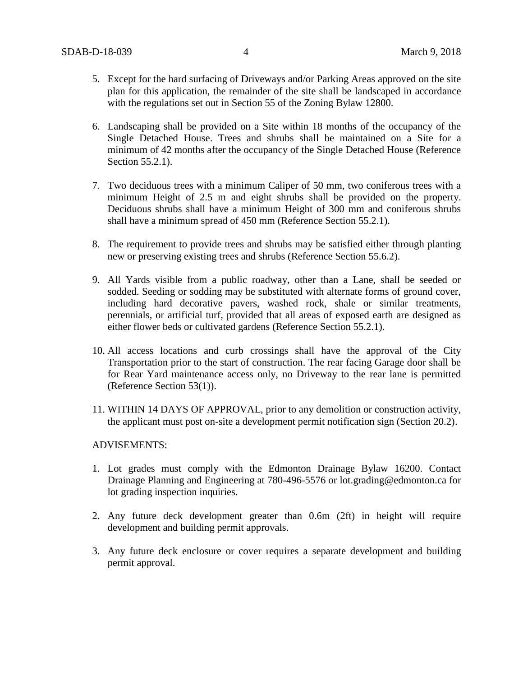- 5. Except for the hard surfacing of Driveways and/or Parking Areas approved on the site plan for this application, the remainder of the site shall be landscaped in accordance with the regulations set out in Section 55 of the Zoning Bylaw 12800.
- 6. Landscaping shall be provided on a Site within 18 months of the occupancy of the Single Detached House. Trees and shrubs shall be maintained on a Site for a minimum of 42 months after the occupancy of the Single Detached House (Reference Section 55.2.1).
- 7. Two deciduous trees with a minimum Caliper of 50 mm, two coniferous trees with a minimum Height of 2.5 m and eight shrubs shall be provided on the property. Deciduous shrubs shall have a minimum Height of 300 mm and coniferous shrubs shall have a minimum spread of 450 mm (Reference Section 55.2.1).
- 8. The requirement to provide trees and shrubs may be satisfied either through planting new or preserving existing trees and shrubs (Reference Section 55.6.2).
- 9. All Yards visible from a public roadway, other than a Lane, shall be seeded or sodded. Seeding or sodding may be substituted with alternate forms of ground cover, including hard decorative pavers, washed rock, shale or similar treatments, perennials, or artificial turf, provided that all areas of exposed earth are designed as either flower beds or cultivated gardens (Reference Section 55.2.1).
- 10. All access locations and curb crossings shall have the approval of the City Transportation prior to the start of construction. The rear facing Garage door shall be for Rear Yard maintenance access only, no Driveway to the rear lane is permitted (Reference Section 53(1)).
- 11. WITHIN 14 DAYS OF APPROVAL, prior to any demolition or construction activity, the applicant must post on-site a development permit notification sign (Section 20.2).

#### ADVISEMENTS:

- 1. Lot grades must comply with the Edmonton Drainage Bylaw 16200. Contact Drainage Planning and Engineering at 780-496-5576 or lot.grading@edmonton.ca for lot grading inspection inquiries.
- 2. Any future deck development greater than 0.6m (2ft) in height will require development and building permit approvals.
- 3. Any future deck enclosure or cover requires a separate development and building permit approval.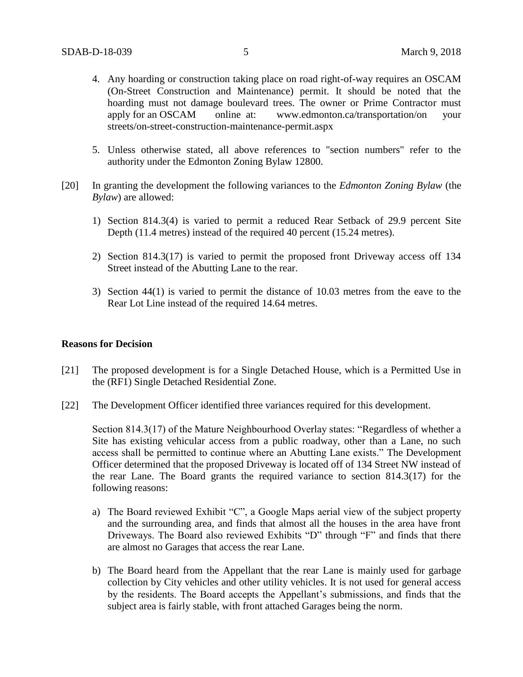- 4. Any hoarding or construction taking place on road right-of-way requires an OSCAM (On-Street Construction and Maintenance) permit. It should be noted that the hoarding must not damage boulevard trees. The owner or Prime Contractor must apply for an OSCAM online at: www.edmonton.ca/transportation/on your streets/on-street-construction-maintenance-permit.aspx
- 5. Unless otherwise stated, all above references to "section numbers" refer to the authority under the Edmonton Zoning Bylaw 12800.
- [20] In granting the development the following variances to the *Edmonton Zoning Bylaw* (the *Bylaw*) are allowed:
	- 1) Section 814.3(4) is varied to permit a reduced Rear Setback of 29.9 percent Site Depth (11.4 metres) instead of the required 40 percent (15.24 metres).
	- 2) Section 814.3(17) is varied to permit the proposed front Driveway access off 134 Street instead of the Abutting Lane to the rear.
	- 3) Section 44(1) is varied to permit the distance of 10.03 metres from the eave to the Rear Lot Line instead of the required 14.64 metres.

## **Reasons for Decision**

- [21] The proposed development is for a Single Detached House, which is a Permitted Use in the (RF1) Single Detached Residential Zone.
- [22] The Development Officer identified three variances required for this development.

Section 814.3(17) of the Mature Neighbourhood Overlay states: "Regardless of whether a Site has existing vehicular access from a public roadway, other than a Lane, no such access shall be permitted to continue where an Abutting Lane exists." The Development Officer determined that the proposed Driveway is located off of 134 Street NW instead of the rear Lane. The Board grants the required variance to section 814.3(17) for the following reasons:

- a) The Board reviewed Exhibit "C", a Google Maps aerial view of the subject property and the surrounding area, and finds that almost all the houses in the area have front Driveways. The Board also reviewed Exhibits "D" through "F" and finds that there are almost no Garages that access the rear Lane.
- b) The Board heard from the Appellant that the rear Lane is mainly used for garbage collection by City vehicles and other utility vehicles. It is not used for general access by the residents. The Board accepts the Appellant's submissions, and finds that the subject area is fairly stable, with front attached Garages being the norm.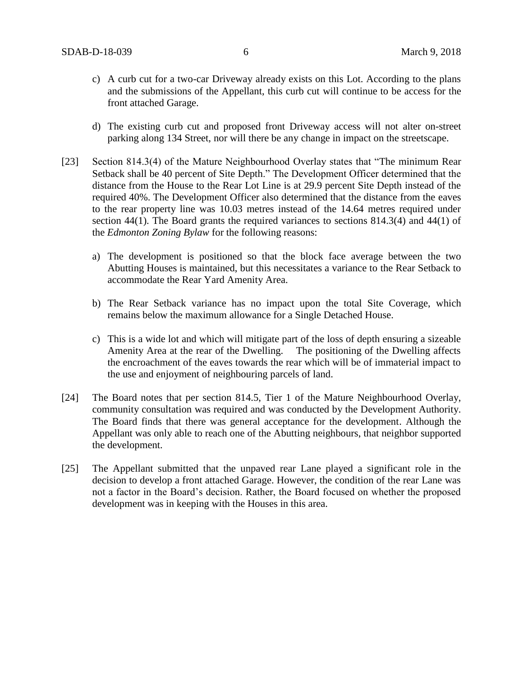- c) A curb cut for a two-car Driveway already exists on this Lot. According to the plans and the submissions of the Appellant, this curb cut will continue to be access for the front attached Garage.
- d) The existing curb cut and proposed front Driveway access will not alter on-street parking along 134 Street, nor will there be any change in impact on the streetscape.
- [23] Section 814.3(4) of the Mature Neighbourhood Overlay states that "The minimum Rear Setback shall be 40 percent of Site Depth." The Development Officer determined that the distance from the House to the Rear Lot Line is at 29.9 percent Site Depth instead of the required 40%. The Development Officer also determined that the distance from the eaves to the rear property line was 10.03 metres instead of the 14.64 metres required under section 44(1). The Board grants the required variances to sections 814.3(4) and 44(1) of the *Edmonton Zoning Bylaw* for the following reasons:
	- a) The development is positioned so that the block face average between the two Abutting Houses is maintained, but this necessitates a variance to the Rear Setback to accommodate the Rear Yard Amenity Area.
	- b) The Rear Setback variance has no impact upon the total Site Coverage, which remains below the maximum allowance for a Single Detached House.
	- c) This is a wide lot and which will mitigate part of the loss of depth ensuring a sizeable Amenity Area at the rear of the Dwelling. The positioning of the Dwelling affects the encroachment of the eaves towards the rear which will be of immaterial impact to the use and enjoyment of neighbouring parcels of land.
- [24] The Board notes that per section 814.5, Tier 1 of the Mature Neighbourhood Overlay, community consultation was required and was conducted by the Development Authority. The Board finds that there was general acceptance for the development. Although the Appellant was only able to reach one of the Abutting neighbours, that neighbor supported the development.
- [25] The Appellant submitted that the unpaved rear Lane played a significant role in the decision to develop a front attached Garage. However, the condition of the rear Lane was not a factor in the Board's decision. Rather, the Board focused on whether the proposed development was in keeping with the Houses in this area.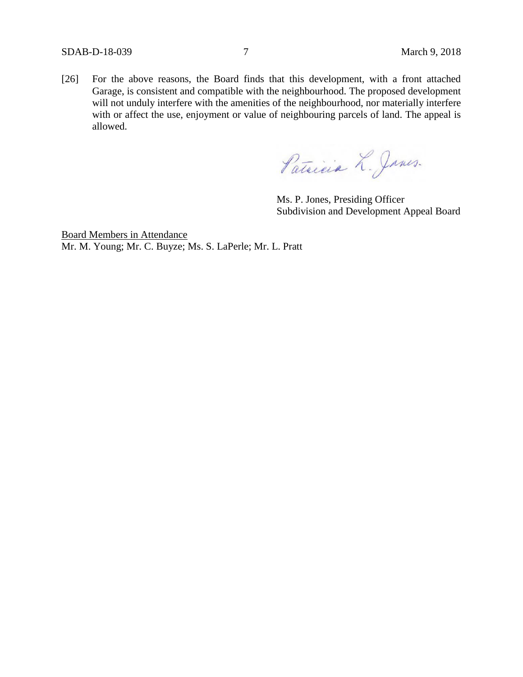[26] For the above reasons, the Board finds that this development, with a front attached Garage, is consistent and compatible with the neighbourhood. The proposed development will not unduly interfere with the amenities of the neighbourhood, nor materially interfere with or affect the use, enjoyment or value of neighbouring parcels of land. The appeal is allowed.

Patricia L. Janes.

Ms. P. Jones, Presiding Officer Subdivision and Development Appeal Board

Board Members in Attendance Mr. M. Young; Mr. C. Buyze; Ms. S. LaPerle; Mr. L. Pratt